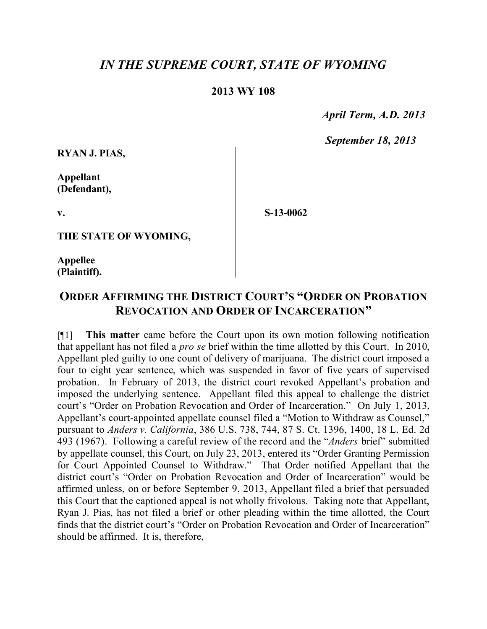## *IN THE SUPREME COURT, STATE OF WYOMING*

## **2013 WY 108**

 *April Term, A.D. 2013*

 *September 18, 2013*

**RYAN J. PIAS,**

**Appellant (Defendant),**

**S-13-0062**

**THE STATE OF WYOMING,**

**Appellee (Plaintiff).**

**v.**

## **ORDER AFFIRMING THE DISTRICT COURT'S "ORDER ON PROBATION REVOCATION AND ORDER OF INCARCERATION"**

[¶1] **This matter** came before the Court upon its own motion following notification that appellant has not filed a *pro se* brief within the time allotted by this Court. In 2010, Appellant pled guilty to one count of delivery of marijuana. The district court imposed a four to eight year sentence, which was suspended in favor of five years of supervised probation. In February of 2013, the district court revoked Appellant's probation and imposed the underlying sentence. Appellant filed this appeal to challenge the district court's "Order on Probation Revocation and Order of Incarceration." On July 1, 2013, Appellant's court-appointed appellate counsel filed a "Motion to Withdraw as Counsel," pursuant to *Anders v. California*, 386 U.S. 738, 744, 87 S. Ct. 1396, 1400, 18 L. Ed. 2d 493 (1967). Following a careful review of the record and the "*Anders* brief" submitted by appellate counsel, this Court, on July 23, 2013, entered its "Order Granting Permission for Court Appointed Counsel to Withdraw." That Order notified Appellant that the district court's "Order on Probation Revocation and Order of Incarceration" would be affirmed unless, on or before September 9, 2013, Appellant filed a brief that persuaded this Court that the captioned appeal is not wholly frivolous. Taking note that Appellant, Ryan J. Pias, has not filed a brief or other pleading within the time allotted, the Court finds that the district court's "Order on Probation Revocation and Order of Incarceration" should be affirmed. It is, therefore,